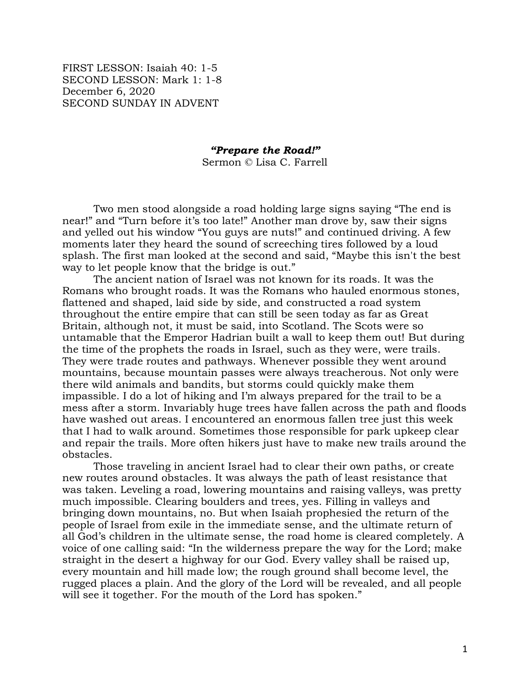FIRST LESSON: Isaiah 40: 1-5 SECOND LESSON: Mark 1: 1-8 December 6, 2020 SECOND SUNDAY IN ADVENT

## *"Prepare the Road!"*

Sermon © Lisa C. Farrell

Two men stood alongside a road holding large signs saying "The end is near!" and "Turn before it's too late!" Another man drove by, saw their signs and yelled out his window "You guys are nuts!" and continued driving. A few moments later they heard the sound of screeching tires followed by a loud splash. The first man looked at the second and said, "Maybe this isn't the best way to let people know that the bridge is out."

The ancient nation of Israel was not known for its roads. It was the Romans who brought roads. It was the Romans who hauled enormous stones, flattened and shaped, laid side by side, and constructed a road system throughout the entire empire that can still be seen today as far as Great Britain, although not, it must be said, into Scotland. The Scots were so untamable that the Emperor Hadrian built a wall to keep them out! But during the time of the prophets the roads in Israel, such as they were, were trails. They were trade routes and pathways. Whenever possible they went around mountains, because mountain passes were always treacherous. Not only were there wild animals and bandits, but storms could quickly make them impassible. I do a lot of hiking and I'm always prepared for the trail to be a mess after a storm. Invariably huge trees have fallen across the path and floods have washed out areas. I encountered an enormous fallen tree just this week that I had to walk around. Sometimes those responsible for park upkeep clear and repair the trails. More often hikers just have to make new trails around the obstacles.

Those traveling in ancient Israel had to clear their own paths, or create new routes around obstacles. It was always the path of least resistance that was taken. Leveling a road, lowering mountains and raising valleys, was pretty much impossible. Clearing boulders and trees, yes. Filling in valleys and bringing down mountains, no. But when Isaiah prophesied the return of the people of Israel from exile in the immediate sense, and the ultimate return of all God's children in the ultimate sense, the road home is cleared completely. A voice of one calling said: "In the wilderness prepare the way for the Lord; make straight in the desert a highway for our God. Every valley shall be raised up, every mountain and hill made low; the rough ground shall become level, the rugged places a plain. And the glory of the Lord will be revealed, and all people will see it together. For the mouth of the Lord has spoken."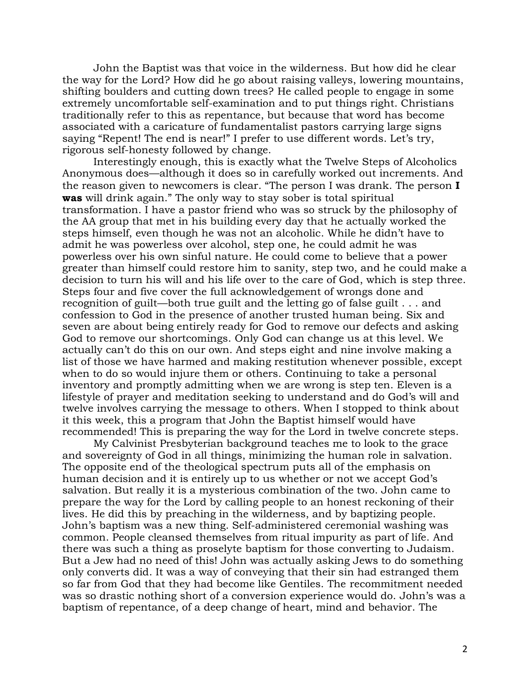John the Baptist was that voice in the wilderness. But how did he clear the way for the Lord? How did he go about raising valleys, lowering mountains, shifting boulders and cutting down trees? He called people to engage in some extremely uncomfortable self-examination and to put things right. Christians traditionally refer to this as repentance, but because that word has become associated with a caricature of fundamentalist pastors carrying large signs saying "Repent! The end is near!" I prefer to use different words. Let's try, rigorous self-honesty followed by change.

Interestingly enough, this is exactly what the Twelve Steps of Alcoholics Anonymous does—although it does so in carefully worked out increments. And the reason given to newcomers is clear. "The person I was drank. The person **I was** will drink again." The only way to stay sober is total spiritual transformation. I have a pastor friend who was so struck by the philosophy of the AA group that met in his building every day that he actually worked the steps himself, even though he was not an alcoholic. While he didn't have to admit he was powerless over alcohol, step one, he could admit he was powerless over his own sinful nature. He could come to believe that a power greater than himself could restore him to sanity, step two, and he could make a decision to turn his will and his life over to the care of God, which is step three. Steps four and five cover the full acknowledgement of wrongs done and recognition of guilt—both true guilt and the letting go of false guilt . . . and confession to God in the presence of another trusted human being. Six and seven are about being entirely ready for God to remove our defects and asking God to remove our shortcomings. Only God can change us at this level. We actually can't do this on our own. And steps eight and nine involve making a list of those we have harmed and making restitution whenever possible, except when to do so would injure them or others. Continuing to take a personal inventory and promptly admitting when we are wrong is step ten. Eleven is a lifestyle of prayer and meditation seeking to understand and do God's will and twelve involves carrying the message to others. When I stopped to think about it this week, this a program that John the Baptist himself would have recommended! This is preparing the way for the Lord in twelve concrete steps.

My Calvinist Presbyterian background teaches me to look to the grace and sovereignty of God in all things, minimizing the human role in salvation. The opposite end of the theological spectrum puts all of the emphasis on human decision and it is entirely up to us whether or not we accept God's salvation. But really it is a mysterious combination of the two. John came to prepare the way for the Lord by calling people to an honest reckoning of their lives. He did this by preaching in the wilderness, and by baptizing people. John's baptism was a new thing. Self-administered ceremonial washing was common. People cleansed themselves from ritual impurity as part of life. And there was such a thing as proselyte baptism for those converting to Judaism. But a Jew had no need of this! John was actually asking Jews to do something only converts did. It was a way of conveying that their sin had estranged them so far from God that they had become like Gentiles. The recommitment needed was so drastic nothing short of a conversion experience would do. John's was a baptism of repentance, of a deep change of heart, mind and behavior. The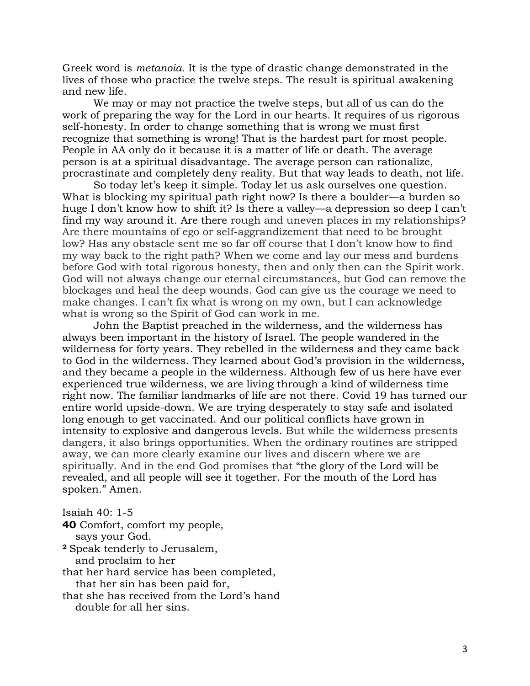Greek word is *metanoia*. It is the type of drastic change demonstrated in the lives of those who practice the twelve steps. The result is spiritual awakening and new life.

We may or may not practice the twelve steps, but all of us can do the work of preparing the way for the Lord in our hearts. It requires of us rigorous self-honesty. In order to change something that is wrong we must first recognize that something is wrong! That is the hardest part for most people. People in AA only do it because it is a matter of life or death. The average person is at a spiritual disadvantage. The average person can rationalize, procrastinate and completely deny reality. But that way leads to death, not life.

So today let's keep it simple. Today let us ask ourselves one question. What is blocking my spiritual path right now? Is there a boulder—a burden so huge I don't know how to shift it? Is there a valley—a depression so deep I can't find my way around it. Are there rough and uneven places in my relationships? Are there mountains of ego or self-aggrandizement that need to be brought low? Has any obstacle sent me so far off course that I don't know how to find my way back to the right path? When we come and lay our mess and burdens before God with total rigorous honesty, then and only then can the Spirit work. God will not always change our eternal circumstances, but God can remove the blockages and heal the deep wounds. God can give us the courage we need to make changes. I can't fix what is wrong on my own, but I can acknowledge what is wrong so the Spirit of God can work in me.

John the Baptist preached in the wilderness, and the wilderness has always been important in the history of Israel. The people wandered in the wilderness for forty years. They rebelled in the wilderness and they came back to God in the wilderness. They learned about God's provision in the wilderness, and they became a people in the wilderness. Although few of us here have ever experienced true wilderness, we are living through a kind of wilderness time right now. The familiar landmarks of life are not there. Covid 19 has turned our entire world upside-down. We are trying desperately to stay safe and isolated long enough to get vaccinated. And our political conflicts have grown in intensity to explosive and dangerous levels. But while the wilderness presents dangers, it also brings opportunities. When the ordinary routines are stripped away, we can more clearly examine our lives and discern where we are spiritually. And in the end God promises that "the glory of the Lord will be revealed, and all people will see it together. For the mouth of the Lord has spoken." Amen.

Isaiah 40: 1-5

**40** Comfort, comfort my people, says your God. **<sup>2</sup>** Speak tenderly to Jerusalem, and proclaim to her that her hard service has been completed, that her sin has been paid for, that she has received from the Lord's hand

double for all her sins.